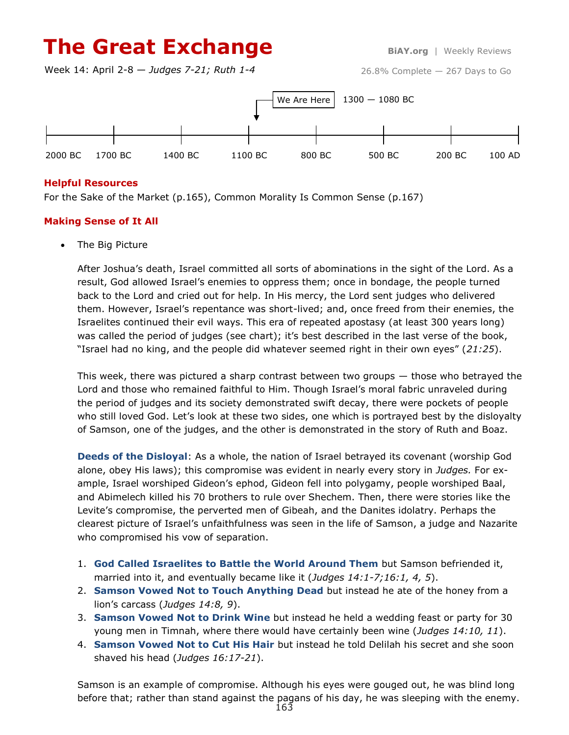# **The Great Exchange BiAY.org** | Weekly Reviews

Week 14: April 2-8 — *Judges 7-21; Ruth 1-4*



## **Helpful Resources**

For the Sake of the Market (p.165), Common Morality Is Common Sense (p.167)

## **Making Sense of It All**

The Big Picture

After Joshua's death, Israel committed all sorts of abominations in the sight of the Lord. As a result, God allowed Israel's enemies to oppress them; once in bondage, the people turned back to the Lord and cried out for help. In His mercy, the Lord sent judges who delivered them. However, Israel's repentance was short-lived; and, once freed from their enemies, the Israelites continued their evil ways. This era of repeated apostasy (at least 300 years long) was called the period of judges (see chart); it's best described in the last verse of the book, "Israel had no king, and the people did whatever seemed right in their own eyes" (*21:25*).

This week, there was pictured a sharp contrast between two groups — those who betrayed the Lord and those who remained faithful to Him. Though Israel's moral fabric unraveled during the period of judges and its society demonstrated swift decay, there were pockets of people who still loved God. Let's look at these two sides, one which is portrayed best by the disloyalty of Samson, one of the judges, and the other is demonstrated in the story of Ruth and Boaz.

**Deeds of the Disloyal**: As a whole, the nation of Israel betrayed its covenant (worship God alone, obey His laws); this compromise was evident in nearly every story in *Judges.* For example, Israel worshiped Gideon's ephod, Gideon fell into polygamy, people worshiped Baal, and Abimelech killed his 70 brothers to rule over Shechem. Then, there were stories like the Levite's compromise, the perverted men of Gibeah, and the Danites idolatry. Perhaps the clearest picture of Israel's unfaithfulness was seen in the life of Samson, a judge and Nazarite who compromised his vow of separation.

- 1. **God Called Israelites to Battle the World Around Them** but Samson befriended it, married into it, and eventually became like it (*Judges 14:1-7;16:1, 4, 5*).
- 2. **Samson Vowed Not to Touch Anything Dead** but instead he ate of the honey from a lion's carcass (*Judges 14:8, 9*).
- 3. **Samson Vowed Not to Drink Wine** but instead he held a wedding feast or party for 30 young men in Timnah, where there would have certainly been wine (*Judges 14:10, 11*).
- 4. **Samson Vowed Not to Cut His Hair** but instead he told Delilah his secret and she soon shaved his head (*Judges 16:17-21*).

Samson is an example of compromise. Although his eyes were gouged out, he was blind long before that; rather than stand against the pagans of his day, he was sleeping with the enemy.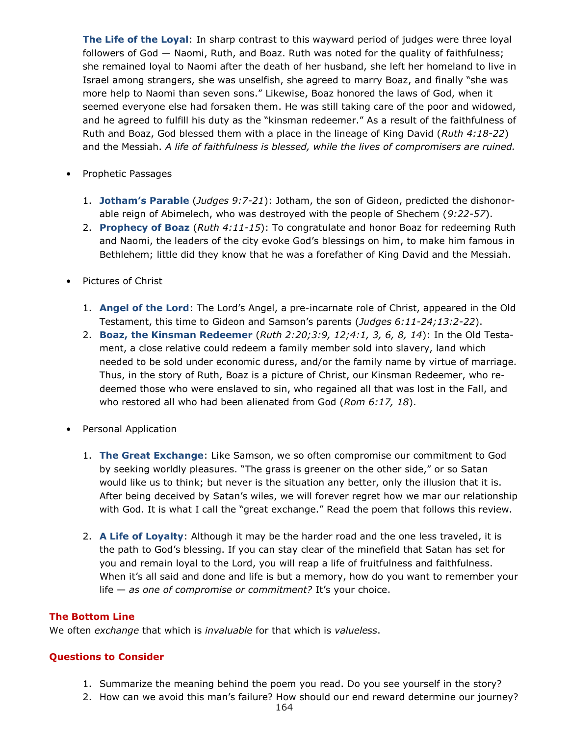**The Life of the Loyal**: In sharp contrast to this wayward period of judges were three loyal followers of God — Naomi, Ruth, and Boaz. Ruth was noted for the quality of faithfulness; she remained loyal to Naomi after the death of her husband, she left her homeland to live in Israel among strangers, she was unselfish, she agreed to marry Boaz, and finally "she was more help to Naomi than seven sons." Likewise, Boaz honored the laws of God, when it seemed everyone else had forsaken them. He was still taking care of the poor and widowed, and he agreed to fulfill his duty as the "kinsman redeemer." As a result of the faithfulness of Ruth and Boaz, God blessed them with a place in the lineage of King David (*Ruth 4:18-22*) and the Messiah. *A life of faithfulness is blessed, while the lives of compromisers are ruined.*

- Prophetic Passages
	- 1. **Jotham's Parable** (*Judges 9:7-21*): Jotham, the son of Gideon, predicted the dishonorable reign of Abimelech, who was destroyed with the people of Shechem (*9:22-57*).
	- 2. **Prophecy of Boaz** (*Ruth 4:11-15*): To congratulate and honor Boaz for redeeming Ruth and Naomi, the leaders of the city evoke God's blessings on him, to make him famous in Bethlehem; little did they know that he was a forefather of King David and the Messiah.
- Pictures of Christ
	- 1. **Angel of the Lord**: The Lord's Angel, a pre-incarnate role of Christ, appeared in the Old Testament, this time to Gideon and Samson's parents (*Judges 6:11-24;13:2-22*).
	- 2. **Boaz, the Kinsman Redeemer** (*Ruth 2:20;3:9, 12;4:1, 3, 6, 8, 14*): In the Old Testament, a close relative could redeem a family member sold into slavery, land which needed to be sold under economic duress, and/or the family name by virtue of marriage. Thus, in the story of Ruth, Boaz is a picture of Christ, our Kinsman Redeemer, who redeemed those who were enslaved to sin, who regained all that was lost in the Fall, and who restored all who had been alienated from God (*Rom 6:17, 18*).
- Personal Application
	- 1. **The Great Exchange**: Like Samson, we so often compromise our commitment to God by seeking worldly pleasures. "The grass is greener on the other side," or so Satan would like us to think; but never is the situation any better, only the illusion that it is. After being deceived by Satan's wiles, we will forever regret how we mar our relationship with God. It is what I call the "great exchange." Read the poem that follows this review.
	- 2. **A Life of Loyalty**: Although it may be the harder road and the one less traveled, it is the path to God's blessing. If you can stay clear of the minefield that Satan has set for you and remain loyal to the Lord, you will reap a life of fruitfulness and faithfulness. When it's all said and done and life is but a memory, how do you want to remember your life — *as one of compromise or commitment?* It's your choice.

#### **The Bottom Line**

We often *exchange* that which is *invaluable* for that which is *valueless*.

#### **Questions to Consider**

- 1. Summarize the meaning behind the poem you read. Do you see yourself in the story?
- 2. How can we avoid this man's failure? How should our end reward determine our journey?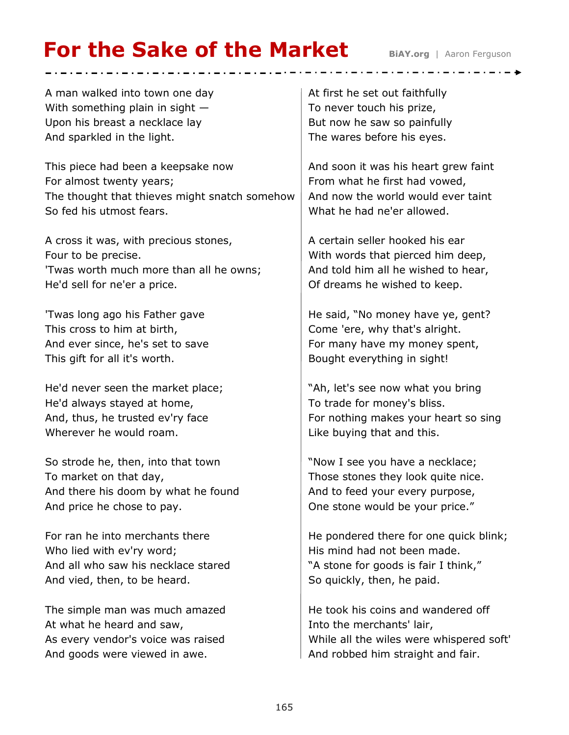# **For the Sake of the Market** BiAY.org | Aaron Ferguson

A man walked into town one day With something plain in sight  $-$ Upon his breast a necklace lay And sparkled in the light.

This piece had been a keepsake now For almost twenty years; The thought that thieves might snatch somehow So fed his utmost fears.

A cross it was, with precious stones, Four to be precise. 'Twas worth much more than all he owns; He'd sell for ne'er a price.

'Twas long ago his Father gave This cross to him at birth, And ever since, he's set to save This gift for all it's worth.

He'd never seen the market place; He'd always stayed at home, And, thus, he trusted ev'ry face Wherever he would roam.

So strode he, then, into that town To market on that day, And there his doom by what he found And price he chose to pay.

For ran he into merchants there Who lied with ev'ry word; And all who saw his necklace stared And vied, then, to be heard.

The simple man was much amazed At what he heard and saw, As every vendor's voice was raised And goods were viewed in awe.

At first he set out faithfully To never touch his prize, But now he saw so painfully The wares before his eyes.

And soon it was his heart grew faint From what he first had vowed, And now the world would ever taint What he had ne'er allowed.

A certain seller hooked his ear With words that pierced him deep, And told him all he wished to hear, Of dreams he wished to keep.

He said, "No money have ye, gent? Come 'ere, why that's alright. For many have my money spent, Bought everything in sight!

"Ah, let's see now what you bring To trade for money's bliss. For nothing makes your heart so sing Like buying that and this.

"Now I see you have a necklace; Those stones they look quite nice. And to feed your every purpose, One stone would be your price."

He pondered there for one quick blink; His mind had not been made. "A stone for goods is fair I think," So quickly, then, he paid.

He took his coins and wandered off Into the merchants' lair, While all the wiles were whispered soft' And robbed him straight and fair.